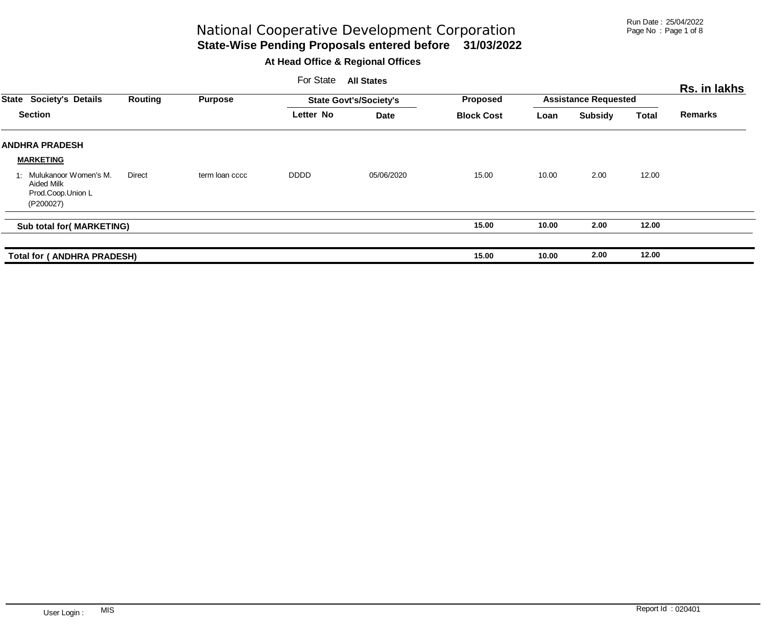Run Date : 25/04/2022 Page No : Page 1 of 8

# **State-Wise Pending Proposals entered before 31/03/2022** National Cooperative Development Corporation

|              |                                                                          |         |                | For State   | <b>All States</b>             |                   |                             |                |              | Rs. in lakhs   |
|--------------|--------------------------------------------------------------------------|---------|----------------|-------------|-------------------------------|-------------------|-----------------------------|----------------|--------------|----------------|
| <b>State</b> | <b>Society's Details</b>                                                 | Routing | <b>Purpose</b> |             | <b>State Govt's/Society's</b> | <b>Proposed</b>   | <b>Assistance Requested</b> |                |              |                |
|              | <b>Section</b>                                                           |         |                | Letter No   | <b>Date</b>                   | <b>Block Cost</b> | Loan                        | <b>Subsidy</b> | <b>Total</b> | <b>Remarks</b> |
|              | <b>ANDHRA PRADESH</b>                                                    |         |                |             |                               |                   |                             |                |              |                |
|              | <b>MARKETING</b>                                                         |         |                |             |                               |                   |                             |                |              |                |
|              | 1: Mulukanoor Women's M.<br>Aided Milk<br>Prod.Coop.Union L<br>(P200027) | Direct  | term loan cccc | <b>DDDD</b> | 05/06/2020                    | 15.00             | 10.00                       | 2.00           | 12.00        |                |
|              | Sub total for(MARKETING)                                                 |         |                |             |                               | 15.00             | 10.00                       | 2.00           | 12.00        |                |
|              | <b>Total for ( ANDHRA PRADESH)</b>                                       |         |                |             |                               | 15.00             | 10.00                       | 2.00           | 12.00        |                |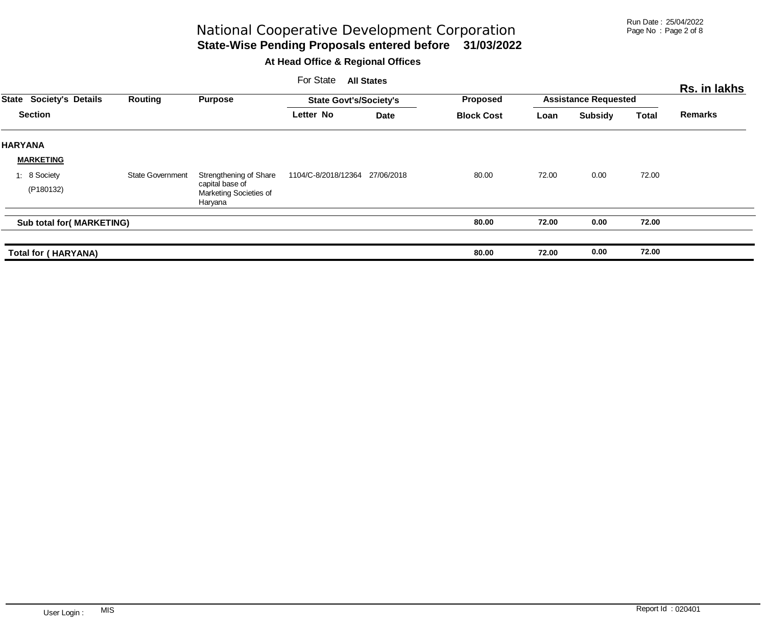Run Date : 25/04/2022 Page No : Page 2 of 8

**State-Wise Pending Proposals entered before 31/03/2022** National Cooperative Development Corporation

|                |                           |                         |                                                      | For State                     | <b>All States</b> |                                      |                             |                |              | Rs. in lakhs   |
|----------------|---------------------------|-------------------------|------------------------------------------------------|-------------------------------|-------------------|--------------------------------------|-----------------------------|----------------|--------------|----------------|
| <b>State</b>   | <b>Society's Details</b>  | Routing                 | <b>Purpose</b>                                       | <b>State Govt's/Society's</b> |                   | <b>Proposed</b><br><b>Block Cost</b> | <b>Assistance Requested</b> |                |              |                |
|                | <b>Section</b>            |                         |                                                      | Letter No                     | Date              |                                      | Loan                        | <b>Subsidy</b> | <b>Total</b> | <b>Remarks</b> |
| <b>HARYANA</b> |                           |                         |                                                      |                               |                   |                                      |                             |                |              |                |
|                | <b>MARKETING</b>          |                         |                                                      |                               |                   |                                      |                             |                |              |                |
|                | 1: 8 Society              | <b>State Government</b> | Strengthening of Share                               | 1104/C-8/2018/12364           | 27/06/2018        | 80.00                                | 72.00                       | 0.00           | 72.00        |                |
|                | (P180132)                 |                         | capital base of<br>Marketing Societies of<br>Haryana |                               |                   |                                      |                             |                |              |                |
|                | Sub total for( MARKETING) |                         |                                                      |                               |                   | 80.00                                | 72.00                       | 0.00           | 72.00        |                |
|                | Total for (HARYANA)       |                         |                                                      |                               |                   | 80.00                                | 72.00                       | 0.00           | 72.00        |                |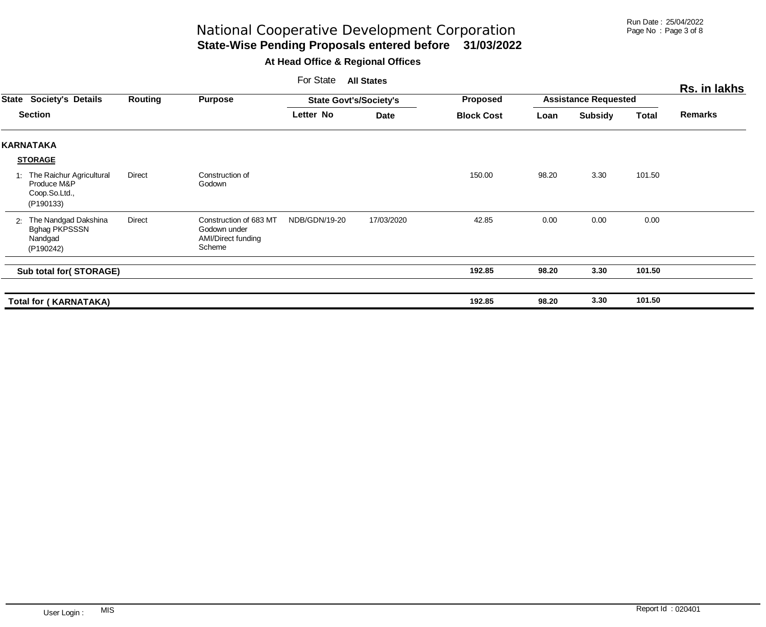Run Date : 25/04/2022 Page No : Page 3 of 8

# **State-Wise Pending Proposals entered before 31/03/2022** National Cooperative Development Corporation

|    |                                                                          |         |                                                                        | For State                     | <b>All States</b> |                   |                             |                |              | Rs. in lakhs   |
|----|--------------------------------------------------------------------------|---------|------------------------------------------------------------------------|-------------------------------|-------------------|-------------------|-----------------------------|----------------|--------------|----------------|
|    | <b>State Society's Details</b><br><b>Section</b>                         | Routing | <b>Purpose</b>                                                         | <b>State Govt's/Society's</b> |                   | Proposed          | <b>Assistance Requested</b> |                |              |                |
|    |                                                                          |         |                                                                        | Letter No                     | <b>Date</b>       | <b>Block Cost</b> | Loan                        | <b>Subsidy</b> | <b>Total</b> | <b>Remarks</b> |
|    | <b>KARNATAKA</b>                                                         |         |                                                                        |                               |                   |                   |                             |                |              |                |
|    | <b>STORAGE</b>                                                           |         |                                                                        |                               |                   |                   |                             |                |              |                |
|    | 1: The Raichur Agricultural<br>Produce M&P<br>Coop.So.Ltd.,<br>(P190133) | Direct  | Construction of<br>Godown                                              |                               |                   | 150.00            | 98.20                       | 3.30           | 101.50       |                |
| 2: | The Nandgad Dakshina<br>Bghag PKPSSSN<br>Nandgad<br>(P190242)            | Direct  | Construction of 683 MT<br>Godown under<br>AMI/Direct funding<br>Scheme | NDB/GDN/19-20                 | 17/03/2020        | 42.85             | 0.00                        | 0.00           | 0.00         |                |
|    | Sub total for(STORAGE)                                                   |         |                                                                        |                               |                   | 192.85            | 98.20                       | 3.30           | 101.50       |                |
|    | <b>Total for (KARNATAKA)</b>                                             |         |                                                                        |                               |                   | 192.85            | 98.20                       | 3.30           | 101.50       |                |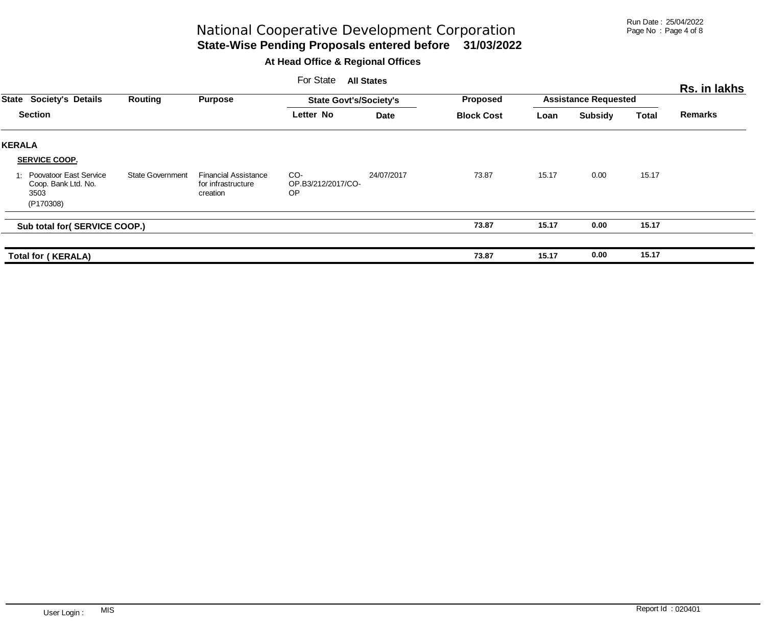Run Date : 25/04/2022 Page No : Page 4 of 8

# **State-Wise Pending Proposals entered before 31/03/2022** National Cooperative Development Corporation

|                                                                       |                         |                                                               | For State                              | <b>All States</b> |                   |                             |                |       | Rs. in lakhs   |
|-----------------------------------------------------------------------|-------------------------|---------------------------------------------------------------|----------------------------------------|-------------------|-------------------|-----------------------------|----------------|-------|----------------|
| <b>Society's Details</b><br><b>State</b>                              | Routing                 | <b>Purpose</b>                                                | <b>State Govt's/Society's</b>          |                   | <b>Proposed</b>   | <b>Assistance Requested</b> |                |       |                |
| <b>Section</b>                                                        |                         |                                                               | Letter No                              | <b>Date</b>       | <b>Block Cost</b> | Loan                        | <b>Subsidy</b> | Total | <b>Remarks</b> |
| <b>KERALA</b>                                                         |                         |                                                               |                                        |                   |                   |                             |                |       |                |
| <b>SERVICE COOP.</b>                                                  |                         |                                                               |                                        |                   |                   |                             |                |       |                |
| 1: Poovatoor East Service<br>Coop. Bank Ltd. No.<br>3503<br>(P170308) | <b>State Government</b> | <b>Financial Assistance</b><br>for infrastructure<br>creation | CO-<br>OP.B3/212/2017/CO-<br><b>OP</b> | 24/07/2017        | 73.87             | 15.17                       | 0.00           | 15.17 |                |
| Sub total for( SERVICE COOP.)                                         |                         |                                                               |                                        |                   | 73.87             | 15.17                       | 0.00           | 15.17 |                |
| <b>Total for (KERALA)</b>                                             |                         |                                                               |                                        |                   | 73.87             | 15.17                       | 0.00           | 15.17 |                |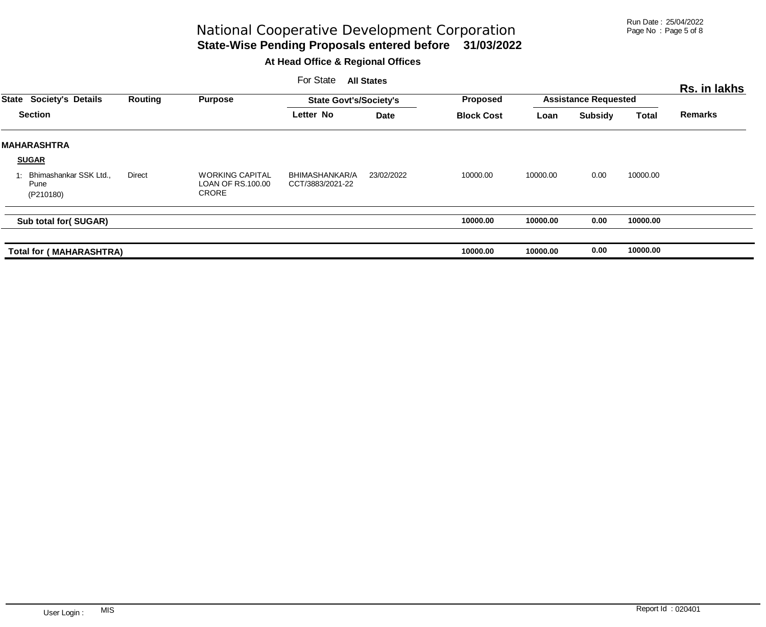Run Date : 25/04/2022 Page No : Page 5 of 8

# National Cooperative Development Corporation

# **State-Wise Pending Proposals entered before 31/03/2022**

|              |                                             |         |                                                             | For State                          | <b>All States</b> |                   |                             |                |              | Rs. in lakhs   |
|--------------|---------------------------------------------|---------|-------------------------------------------------------------|------------------------------------|-------------------|-------------------|-----------------------------|----------------|--------------|----------------|
| <b>State</b> | <b>Society's Details</b>                    | Routing | <b>Purpose</b>                                              | <b>State Govt's/Society's</b>      |                   | <b>Proposed</b>   | <b>Assistance Requested</b> |                |              |                |
|              | <b>Section</b>                              |         |                                                             | Letter No                          | <b>Date</b>       | <b>Block Cost</b> | Loan                        | <b>Subsidy</b> | <b>Total</b> | <b>Remarks</b> |
|              | <b>MAHARASHTRA</b>                          |         |                                                             |                                    |                   |                   |                             |                |              |                |
|              | <b>SUGAR</b>                                |         |                                                             |                                    |                   |                   |                             |                |              |                |
|              | Bhimashankar SSK Ltd.,<br>Pune<br>(P210180) | Direct  | <b>WORKING CAPITAL</b><br>LOAN OF RS.100.00<br><b>CRORE</b> | BHIMASHANKAR/A<br>CCT/3883/2021-22 | 23/02/2022        | 10000.00          | 10000.00                    | 0.00           | 10000.00     |                |
|              | Sub total for(SUGAR)                        |         |                                                             |                                    |                   | 10000.00          | 10000.00                    | 0.00           | 10000.00     |                |
|              | <b>Total for (MAHARASHTRA)</b>              |         |                                                             |                                    |                   | 10000.00          | 10000.00                    | 0.00           | 10000.00     |                |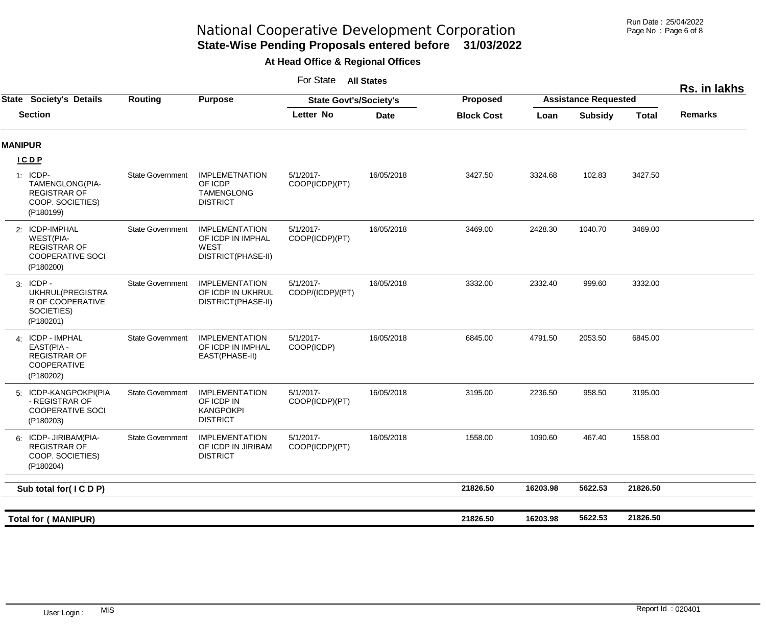Run Date : 25/04/2022 Page No : Page 6 of 8

# **State-Wise Pending Proposals entered before 31/03/2022** National Cooperative Development Corporation

### **At Head Office & Regional Offices**

For State **All States**

|                |                                                                                                   |                         |                                                                                 |                                  |             |                   |                             |                |              | Rs. in lakhs   |
|----------------|---------------------------------------------------------------------------------------------------|-------------------------|---------------------------------------------------------------------------------|----------------------------------|-------------|-------------------|-----------------------------|----------------|--------------|----------------|
|                | <b>State Society's Details</b>                                                                    | Routing                 | <b>Purpose</b>                                                                  | <b>State Govt's/Society's</b>    |             | <b>Proposed</b>   | <b>Assistance Requested</b> |                |              |                |
|                | <b>Section</b>                                                                                    |                         |                                                                                 | Letter No                        | <b>Date</b> | <b>Block Cost</b> | Loan                        | <b>Subsidy</b> | <b>Total</b> | <b>Remarks</b> |
| <b>MANIPUR</b> |                                                                                                   |                         |                                                                                 |                                  |             |                   |                             |                |              |                |
|                | <b>ICDP</b>                                                                                       |                         |                                                                                 |                                  |             |                   |                             |                |              |                |
|                | 1: ICDP-<br>TAMENGLONG(PIA-<br><b>REGISTRAR OF</b><br>COOP. SOCIETIES)<br>(P180199)               | <b>State Government</b> | <b>IMPLEMETNATION</b><br>OF ICDP<br><b>TAMENGLONG</b><br><b>DISTRICT</b>        | $5/1/2017 -$<br>COOP(ICDP)(PT)   | 16/05/2018  | 3427.50           | 3324.68                     | 102.83         | 3427.50      |                |
|                | 2: ICDP-IMPHAL<br><b>WEST(PIA-</b><br><b>REGISTRAR OF</b><br><b>COOPERATIVE SOCI</b><br>(P180200) | <b>State Government</b> | <b>IMPLEMENTATION</b><br>OF ICDP IN IMPHAL<br><b>WEST</b><br>DISTRICT(PHASE-II) | $5/1/2017$ -<br>COOP(ICDP)(PT)   | 16/05/2018  | 3469.00           | 2428.30                     | 1040.70        | 3469.00      |                |
|                | $3:$ ICDP -<br>UKHRUL(PREGISTRA<br>R OF COOPERATIVE<br>SOCIETIES)<br>(P180201)                    | <b>State Government</b> | <b>IMPLEMENTATION</b><br>OF ICDP IN UKHRUL<br>DISTRICT(PHASE-II)                | $5/1/2017$ -<br>COOP/(ICDP)/(PT) | 16/05/2018  | 3332.00           | 2332.40                     | 999.60         | 3332.00      |                |
|                | 4: ICDP - IMPHAL<br>EAST(PIA -<br><b>REGISTRAR OF</b><br>COOPERATIVE<br>(P180202)                 | <b>State Government</b> | <b>IMPLEMENTATION</b><br>OF ICDP IN IMPHAL<br>EAST(PHASE-II)                    | $5/1/2017 -$<br>COOP(ICDP)       | 16/05/2018  | 6845.00           | 4791.50                     | 2053.50        | 6845.00      |                |
|                | 5: ICDP-KANGPOKPI(PIA<br>- REGISTRAR OF<br>COOPERATIVE SOCI<br>(P180203)                          | <b>State Government</b> | <b>IMPLEMENTATION</b><br>OF ICDP IN<br><b>KANGPOKPI</b><br><b>DISTRICT</b>      | $5/1/2017$ -<br>COOP(ICDP)(PT)   | 16/05/2018  | 3195.00           | 2236.50                     | 958.50         | 3195.00      |                |
|                | 6: ICDP-JIRIBAM(PIA-<br><b>REGISTRAR OF</b><br>COOP. SOCIETIES)<br>(P180204)                      | <b>State Government</b> | <b>IMPLEMENTATION</b><br>OF ICDP IN JIRIBAM<br><b>DISTRICT</b>                  | $5/1/2017$ -<br>COOP(ICDP)(PT)   | 16/05/2018  | 1558.00           | 1090.60                     | 467.40         | 1558.00      |                |
|                | Sub total for(ICDP)                                                                               |                         |                                                                                 |                                  |             | 21826.50          | 16203.98                    | 5622.53        | 21826.50     |                |
|                |                                                                                                   |                         |                                                                                 |                                  |             |                   |                             |                |              |                |
|                | <b>Total for (MANIPUR)</b>                                                                        |                         |                                                                                 |                                  |             | 21826.50          | 16203.98                    | 5622.53        | 21826.50     |                |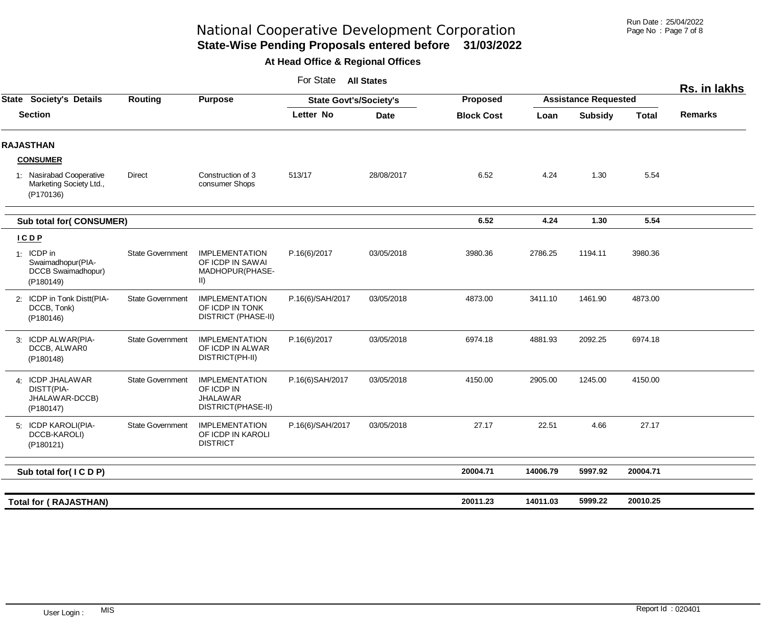Run Date : 25/04/2022 Page No : Page 7 of 8

# **State-Wise Pending Proposals entered before 31/03/2022** National Cooperative Development Corporation

|                                                                    |                         |                                                                               | For State                     | <b>All States</b> |                   |                             |                |              | Rs. in lakhs   |
|--------------------------------------------------------------------|-------------------------|-------------------------------------------------------------------------------|-------------------------------|-------------------|-------------------|-----------------------------|----------------|--------------|----------------|
| <b>State Society's Details</b>                                     | Routing                 | <b>Purpose</b>                                                                | <b>State Govt's/Society's</b> |                   | Proposed          | <b>Assistance Requested</b> |                |              |                |
| <b>Section</b>                                                     |                         |                                                                               | Letter No                     | <b>Date</b>       | <b>Block Cost</b> | Loan                        | <b>Subsidy</b> | <b>Total</b> | <b>Remarks</b> |
| <b>RAJASTHAN</b>                                                   |                         |                                                                               |                               |                   |                   |                             |                |              |                |
| <b>CONSUMER</b>                                                    |                         |                                                                               |                               |                   |                   |                             |                |              |                |
| 1: Nasirabad Cooperative<br>Marketing Society Ltd.,<br>(P170136)   | Direct                  | Construction of 3<br>consumer Shops                                           | 513/17                        | 28/08/2017        | 6.52              | 4.24                        | 1.30           | 5.54         |                |
| <b>Sub total for( CONSUMER)</b>                                    |                         |                                                                               |                               |                   | 6.52              | 4.24                        | 1.30           | 5.54         |                |
| ICDP                                                               |                         |                                                                               |                               |                   |                   |                             |                |              |                |
| 1: ICDP in<br>Swaimadhopur(PIA-<br>DCCB Swaimadhopur)<br>(P180149) | <b>State Government</b> | <b>IMPLEMENTATION</b><br>OF ICDP IN SAWAI<br>MADHOPUR(PHASE-<br>$\vert \vert$ | P.16(6)/2017                  | 03/05/2018        | 3980.36           | 2786.25                     | 1194.11        | 3980.36      |                |
| 2: ICDP in Tonk Distt(PIA-<br>DCCB, Tonk)<br>(P180146)             | <b>State Government</b> | <b>IMPLEMENTATION</b><br>OF ICDP IN TONK<br><b>DISTRICT (PHASE-II)</b>        | P.16(6)/SAH/2017              | 03/05/2018        | 4873.00           | 3411.10                     | 1461.90        | 4873.00      |                |
| 3: ICDP ALWAR(PIA-<br>DCCB, ALWAR0<br>(P180148)                    | <b>State Government</b> | <b>IMPLEMENTATION</b><br>OF ICDP IN ALWAR<br>DISTRICT(PH-II)                  | P.16(6)/2017                  | 03/05/2018        | 6974.18           | 4881.93                     | 2092.25        | 6974.18      |                |
| 4: ICDP JHALAWAR<br>DISTT(PIA-<br>JHALAWAR-DCCB)<br>(P180147)      | <b>State Government</b> | <b>IMPLEMENTATION</b><br>OF ICDP IN<br><b>JHALAWAR</b><br>DISTRICT(PHASE-II)  | P.16(6)SAH/2017               | 03/05/2018        | 4150.00           | 2905.00                     | 1245.00        | 4150.00      |                |
| 5: ICDP KAROLI(PIA-<br>DCCB-KAROLI)<br>(P180121)                   | <b>State Government</b> | <b>IMPLEMENTATION</b><br>OF ICDP IN KAROLI<br><b>DISTRICT</b>                 | P.16(6)/SAH/2017              | 03/05/2018        | 27.17             | 22.51                       | 4.66           | 27.17        |                |
| Sub total for(ICDP)                                                |                         |                                                                               |                               |                   | 20004.71          | 14006.79                    | 5997.92        | 20004.71     |                |
|                                                                    |                         |                                                                               |                               |                   |                   |                             |                |              |                |
| <b>Total for ( RAJASTHAN)</b>                                      |                         |                                                                               |                               |                   | 20011.23          | 14011.03                    | 5999.22        | 20010.25     |                |